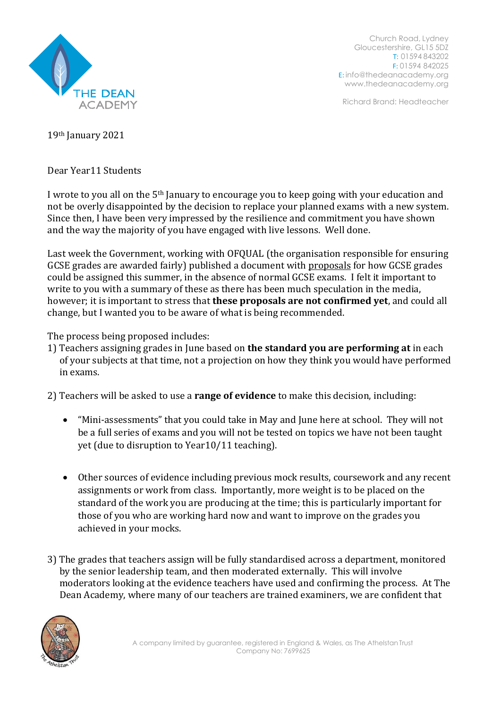

Church Road, Lydney Gloucestershire, GL15 5DZ T: 01594 843202 F: 01594 842025 E: [info@thedeanacademy.org](mailto:info@thedeanacademy.org) [www.thedeanacademy.org](http://www.thedeanacademy.org/)

Richard Brand: Headteacher

19th January 2021

Dear Year11 Students

I wrote to you all on the 5th January to encourage you to keep going with your education and not be overly disappointed by the decision to replace your planned exams with a new system. Since then, I have been very impressed by the resilience and commitment you have shown and the way the majority of you have engaged with live lessons. Well done.

Last week the Government, working with OFQUAL (the organisation responsible for ensuring GCSE grades are awarded fairly) published a document with proposals for how GCSE grades could be assigned this summer, in the absence of normal GCSE exams. I felt it important to write to you with a summary of these as there has been much speculation in the media, however; it is important to stress that **these proposals are not confirmed yet**, and could all change, but I wanted you to be aware of what is being recommended.

The process being proposed includes:

1) Teachers assigning grades in June based on **the standard you are performing at** in each of your subjects at that time, not a projection on how they think you would have performed in exams.

2) Teachers will be asked to use a **range of evidence** to make this decision, including:

- "Mini-assessments" that you could take in May and June here at school. They will not be a full series of exams and you will not be tested on topics we have not been taught yet (due to disruption to Year10/11 teaching).
- Other sources of evidence including previous mock results, coursework and any recent assignments or work from class. Importantly, more weight is to be placed on the standard of the work you are producing at the time; this is particularly important for those of you who are working hard now and want to improve on the grades you achieved in your mocks.
- 3) The grades that teachers assign will be fully standardised across a department, monitored by the senior leadership team, and then moderated externally. This will involve moderators looking at the evidence teachers have used and confirming the process. At The Dean Academy, where many of our teachers are trained examiners, we are confident that